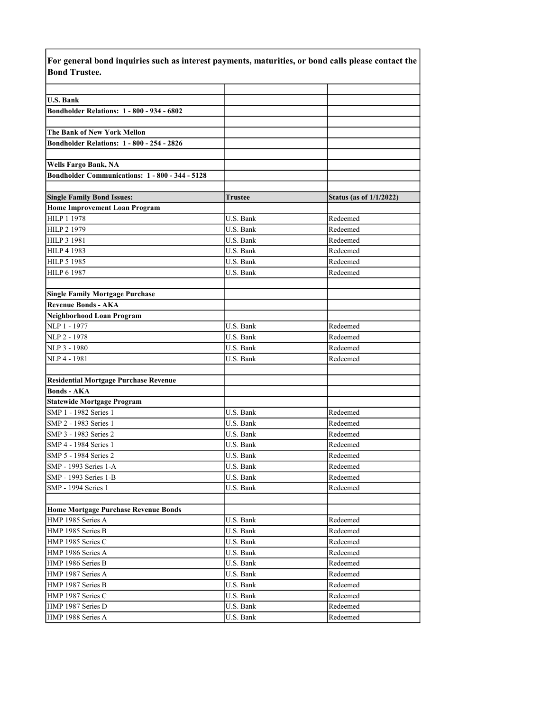| <b>Bond Trustee.</b>                              |                        |                                |
|---------------------------------------------------|------------------------|--------------------------------|
|                                                   |                        |                                |
| <b>U.S. Bank</b>                                  |                        |                                |
| Bondholder Relations: 1 - 800 - 934 - 6802        |                        |                                |
|                                                   |                        |                                |
| The Bank of New York Mellon                       |                        |                                |
| <b>Bondholder Relations: 1 - 800 - 254 - 2826</b> |                        |                                |
|                                                   |                        |                                |
| <b>Wells Fargo Bank, NA</b>                       |                        |                                |
| Bondholder Communications: 1 - 800 - 344 - 5128   |                        |                                |
|                                                   |                        |                                |
| <b>Single Family Bond Issues:</b>                 | Trustee                | <b>Status (as of 1/1/2022)</b> |
| <b>Home Improvement Loan Program</b>              |                        |                                |
| <b>HILP 1 1978</b>                                | U.S. Bank              | Redeemed                       |
| HILP 2 1979                                       | U.S. Bank              | Redeemed                       |
| HILP 3 1981                                       | U.S. Bank              | Redeemed                       |
| <b>HILP 4 1983</b>                                | U.S. Bank              | Redeemed                       |
| HILP 5 1985                                       | U.S. Bank              | Redeemed                       |
| HILP 6 1987                                       | U.S. Bank              | Redeemed                       |
|                                                   |                        |                                |
| <b>Single Family Mortgage Purchase</b>            |                        |                                |
| <b>Revenue Bonds - AKA</b>                        |                        |                                |
| <b>Neighborhood Loan Program</b>                  |                        |                                |
| NLP 1 - 1977                                      | U.S. Bank              | Redeemed                       |
| NLP 2 - 1978                                      | U.S. Bank              | Redeemed                       |
| NLP 3 - 1980                                      | U.S. Bank              | Redeemed                       |
| NLP 4 - 1981                                      | U.S. Bank              | Redeemed                       |
|                                                   |                        |                                |
| <b>Residential Mortgage Purchase Revenue</b>      |                        |                                |
| <b>Bonds - AKA</b>                                |                        |                                |
| <b>Statewide Mortgage Program</b>                 |                        |                                |
| SMP 1 - 1982 Series 1                             | U.S. Bank              | Redeemed<br>Redeemed           |
| SMP 2 - 1983 Series 1                             | U.S. Bank<br>U.S. Bank |                                |
| SMP 3 - 1983 Series 2<br>SMP 4 - 1984 Series 1    | U.S. Bank              | Redeemed<br>Redeemed           |
| SMP 5 - 1984 Series 2                             | U.S. Bank              | Redeemed                       |
| SMP - 1993 Series 1-A                             | U.S. Bank              | Redeemed                       |
| SMP - 1993 Series 1-B                             | U.S. Bank              | Redeemed                       |
| SMP - 1994 Series 1                               | U.S. Bank              | Redeemed                       |
|                                                   |                        |                                |
| <b>Home Mortgage Purchase Revenue Bonds</b>       |                        |                                |
| HMP 1985 Series A                                 | U.S. Bank              | Redeemed                       |
| HMP 1985 Series B                                 | U.S. Bank              | Redeemed                       |
| HMP 1985 Series C                                 | U.S. Bank              | Redeemed                       |
| HMP 1986 Series A                                 | U.S. Bank              | Redeemed                       |
| HMP 1986 Series B                                 | U.S. Bank              | Redeemed                       |
| HMP 1987 Series A                                 | U.S. Bank              | Redeemed                       |
| HMP 1987 Series B                                 | U.S. Bank              | Redeemed                       |
| HMP 1987 Series C                                 | U.S. Bank              | Redeemed                       |
| HMP 1987 Series D                                 | U.S. Bank              | Redeemed                       |
| HMP 1988 Series A                                 | U.S. Bank              | Redeemed                       |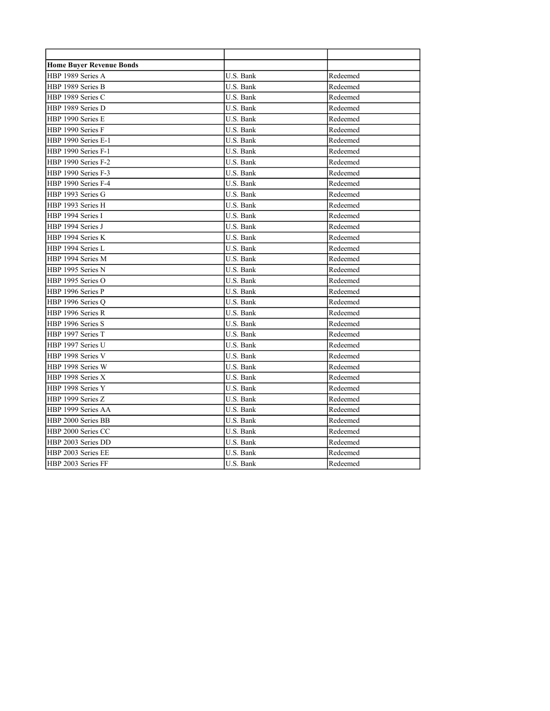| <b>Home Buyer Revenue Bonds</b> |           |          |
|---------------------------------|-----------|----------|
| HBP 1989 Series A               | U.S. Bank | Redeemed |
| HBP 1989 Series B               | U.S. Bank | Redeemed |
| HBP 1989 Series C               | U.S. Bank | Redeemed |
| HBP 1989 Series D               | U.S. Bank | Redeemed |
| HBP 1990 Series E               | U.S. Bank | Redeemed |
| HBP 1990 Series F               | U.S. Bank | Redeemed |
| HBP 1990 Series E-1             | U.S. Bank | Redeemed |
| HBP 1990 Series F-1             | U.S. Bank | Redeemed |
| HBP 1990 Series F-2             | U.S. Bank | Redeemed |
| HBP 1990 Series F-3             | U.S. Bank | Redeemed |
| HBP 1990 Series F-4             | U.S. Bank | Redeemed |
| HBP 1993 Series G               | U.S. Bank | Redeemed |
| HBP 1993 Series H               | U.S. Bank | Redeemed |
| HBP 1994 Series I               | U.S. Bank | Redeemed |
| HBP 1994 Series J               | U.S. Bank | Redeemed |
| HBP 1994 Series K               | U.S. Bank | Redeemed |
| HBP 1994 Series L               | U.S. Bank | Redeemed |
| HBP 1994 Series M               | U.S. Bank | Redeemed |
| HBP 1995 Series N               | U.S. Bank | Redeemed |
| HBP 1995 Series O               | U.S. Bank | Redeemed |
| HBP 1996 Series P               | U.S. Bank | Redeemed |
| HBP 1996 Series O               | U.S. Bank | Redeemed |
| HBP 1996 Series R               | U.S. Bank | Redeemed |
| HBP 1996 Series S               | U.S. Bank | Redeemed |
| HBP 1997 Series T               | U.S. Bank | Redeemed |
| HBP 1997 Series U               | U.S. Bank | Redeemed |
| HBP 1998 Series V               | U.S. Bank | Redeemed |
| HBP 1998 Series W               | U.S. Bank | Redeemed |
| HBP 1998 Series X               | U.S. Bank | Redeemed |
| HBP 1998 Series Y               | U.S. Bank | Redeemed |
| HBP 1999 Series Z               | U.S. Bank | Redeemed |
| HBP 1999 Series AA              | U.S. Bank | Redeemed |
| HBP 2000 Series BB              | U.S. Bank | Redeemed |
| HBP 2000 Series CC              | U.S. Bank | Redeemed |
| HBP 2003 Series DD              | U.S. Bank | Redeemed |
| HBP 2003 Series EE              | U.S. Bank | Redeemed |
| HBP 2003 Series FF              | U.S. Bank | Redeemed |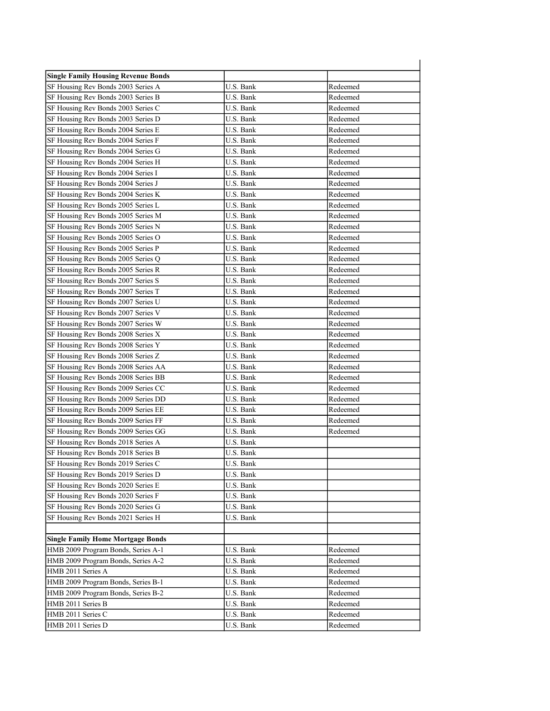| <b>Single Family Housing Revenue Bonds</b> |           |          |
|--------------------------------------------|-----------|----------|
| SF Housing Rev Bonds 2003 Series A         | U.S. Bank | Redeemed |
| SF Housing Rev Bonds 2003 Series B         | U.S. Bank | Redeemed |
| SF Housing Rev Bonds 2003 Series C         | U.S. Bank | Redeemed |
| SF Housing Rev Bonds 2003 Series D         | U.S. Bank | Redeemed |
| SF Housing Rev Bonds 2004 Series E         | U.S. Bank | Redeemed |
| SF Housing Rev Bonds 2004 Series F         | U.S. Bank | Redeemed |
| SF Housing Rev Bonds 2004 Series G         | U.S. Bank | Redeemed |
| SF Housing Rev Bonds 2004 Series H         | U.S. Bank | Redeemed |
| SF Housing Rev Bonds 2004 Series I         | U.S. Bank | Redeemed |
| SF Housing Rev Bonds 2004 Series J         | U.S. Bank | Redeemed |
| SF Housing Rev Bonds 2004 Series K         | U.S. Bank | Redeemed |
| SF Housing Rev Bonds 2005 Series L         | U.S. Bank | Redeemed |
| SF Housing Rev Bonds 2005 Series M         | U.S. Bank | Redeemed |
| SF Housing Rev Bonds 2005 Series N         | U.S. Bank | Redeemed |
| SF Housing Rev Bonds 2005 Series O         | U.S. Bank | Redeemed |
| SF Housing Rev Bonds 2005 Series P         | U.S. Bank | Redeemed |
| SF Housing Rev Bonds 2005 Series Q         | U.S. Bank | Redeemed |
| SF Housing Rev Bonds 2005 Series R         | U.S. Bank | Redeemed |
| SF Housing Rev Bonds 2007 Series S         | U.S. Bank | Redeemed |
| SF Housing Rev Bonds 2007 Series T         | U.S. Bank | Redeemed |
| SF Housing Rev Bonds 2007 Series U         | U.S. Bank | Redeemed |
| SF Housing Rev Bonds 2007 Series V         | U.S. Bank | Redeemed |
| SF Housing Rev Bonds 2007 Series W         | U.S. Bank | Redeemed |
| SF Housing Rev Bonds 2008 Series X         | U.S. Bank | Redeemed |
| SF Housing Rev Bonds 2008 Series Y         | U.S. Bank | Redeemed |
| SF Housing Rev Bonds 2008 Series Z         | U.S. Bank | Redeemed |
| SF Housing Rev Bonds 2008 Series AA        | U.S. Bank | Redeemed |
| SF Housing Rev Bonds 2008 Series BB        | U.S. Bank | Redeemed |
| SF Housing Rev Bonds 2009 Series CC        | U.S. Bank | Redeemed |
| SF Housing Rev Bonds 2009 Series DD        | U.S. Bank | Redeemed |
| SF Housing Rev Bonds 2009 Series EE        | U.S. Bank | Redeemed |
| SF Housing Rev Bonds 2009 Series FF        | U.S. Bank | Redeemed |
| SF Housing Rev Bonds 2009 Series GG        | U.S. Bank | Redeemed |
| SF Housing Rev Bonds 2018 Series A         | U.S. Bank |          |
| SF Housing Rev Bonds 2018 Series B         | U.S. Bank |          |
| SF Housing Rev Bonds 2019 Series C         | U.S. Bank |          |
| SF Housing Rev Bonds 2019 Series D         | U.S. Bank |          |
| SF Housing Rev Bonds 2020 Series E         | U.S. Bank |          |
| SF Housing Rev Bonds 2020 Series F         | U.S. Bank |          |
| SF Housing Rev Bonds 2020 Series G         | U.S. Bank |          |
| SF Housing Rev Bonds 2021 Series H         | U.S. Bank |          |
|                                            |           |          |
| <b>Single Family Home Mortgage Bonds</b>   |           |          |
| HMB 2009 Program Bonds, Series A-1         | U.S. Bank | Redeemed |
| HMB 2009 Program Bonds, Series A-2         | U.S. Bank | Redeemed |
| HMB 2011 Series A                          | U.S. Bank | Redeemed |
| HMB 2009 Program Bonds, Series B-1         | U.S. Bank | Redeemed |
| HMB 2009 Program Bonds, Series B-2         | U.S. Bank | Redeemed |
| HMB 2011 Series B                          | U.S. Bank | Redeemed |
| HMB 2011 Series C                          | U.S. Bank | Redeemed |
| HMB 2011 Series D                          | U.S. Bank | Redeemed |
|                                            |           |          |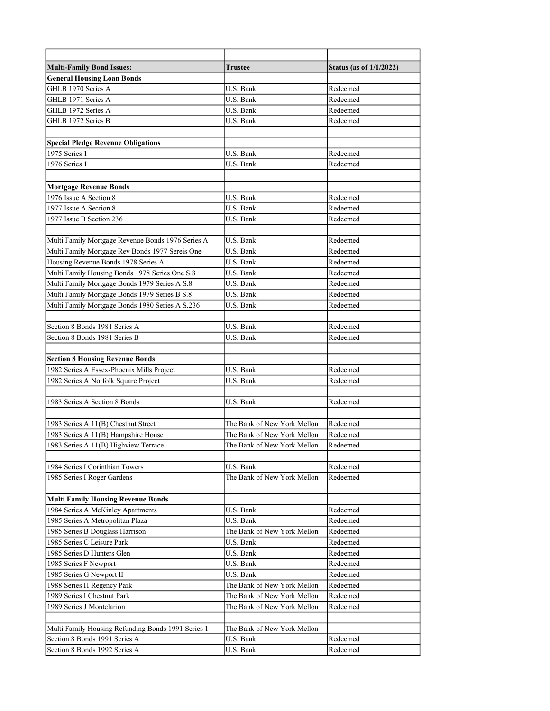| <b>Multi-Family Bond Issues:</b>                   | Trustee                     | <b>Status (as of 1/1/2022)</b> |
|----------------------------------------------------|-----------------------------|--------------------------------|
| <b>General Housing Loan Bonds</b>                  |                             |                                |
| GHLB 1970 Series A                                 | U.S. Bank                   | Redeemed                       |
| GHLB 1971 Series A                                 | U.S. Bank                   | Redeemed                       |
| GHLB 1972 Series A                                 | U.S. Bank                   | Redeemed                       |
| GHLB 1972 Series B                                 | U.S. Bank                   | Redeemed                       |
|                                                    |                             |                                |
| <b>Special Pledge Revenue Obligations</b>          |                             |                                |
| 1975 Series 1                                      | U.S. Bank                   | Redeemed                       |
| 1976 Series 1                                      | U.S. Bank                   | Redeemed                       |
|                                                    |                             |                                |
| <b>Mortgage Revenue Bonds</b>                      |                             |                                |
| 1976 Issue A Section 8                             | U.S. Bank                   | Redeemed                       |
| 1977 Issue A Section 8                             | U.S. Bank                   | Redeemed                       |
| 1977 Issue B Section 236                           | U.S. Bank                   | Redeemed                       |
|                                                    |                             |                                |
| Multi Family Mortgage Revenue Bonds 1976 Series A  | U.S. Bank                   | Redeemed                       |
| Multi Family Mortgage Rev Bonds 1977 Sereis One    | U.S. Bank                   | Redeemed                       |
| Housing Revenue Bonds 1978 Series A                | U.S. Bank                   | Redeemed                       |
| Multi Family Housing Bonds 1978 Series One S.8     | U.S. Bank                   | Redeemed                       |
| Multi Family Mortgage Bonds 1979 Series A S.8      | U.S. Bank                   | Redeemed                       |
| Multi Family Mortgage Bonds 1979 Series B S.8      | U.S. Bank                   | Redeemed                       |
| Multi Family Mortgage Bonds 1980 Series A S.236    | U.S. Bank                   | Redeemed                       |
|                                                    |                             |                                |
| Section 8 Bonds 1981 Series A                      | U.S. Bank                   | Redeemed                       |
| Section 8 Bonds 1981 Series B                      | U.S. Bank                   | Redeemed                       |
|                                                    |                             |                                |
| <b>Section 8 Housing Revenue Bonds</b>             |                             |                                |
| 1982 Series A Essex-Phoenix Mills Project          | U.S. Bank                   | Redeemed                       |
| 1982 Series A Norfolk Square Project               | U.S. Bank                   | Redeemed                       |
|                                                    |                             |                                |
| 1983 Series A Section 8 Bonds                      | U.S. Bank                   | Redeemed                       |
|                                                    |                             |                                |
| 1983 Series A 11(B) Chestnut Street                | The Bank of New York Mellon | Redeemed                       |
| 1983 Series A 11(B) Hampshire House                | The Bank of New York Mellon | Redeemed                       |
| 1983 Series A 11(B) Highview Terrace               | The Bank of New York Mellon | Redeemed                       |
|                                                    |                             |                                |
| 1984 Series I Corinthian Towers                    | U.S. Bank                   | Redeemed                       |
| 1985 Series I Roger Gardens                        | The Bank of New York Mellon | Redeemed                       |
|                                                    |                             |                                |
| <b>Multi Family Housing Revenue Bonds</b>          |                             |                                |
| 1984 Series A McKinley Apartments                  | U.S. Bank                   | Redeemed                       |
| 1985 Series A Metropolitan Plaza                   | U.S. Bank                   | Redeemed                       |
| 1985 Series B Douglass Harrison                    | The Bank of New York Mellon | Redeemed                       |
| 1985 Series C Leisure Park                         | U.S. Bank                   | Redeemed                       |
| 1985 Series D Hunters Glen                         | U.S. Bank                   | Redeemed                       |
| 1985 Series F Newport                              | U.S. Bank                   | Redeemed                       |
| 1985 Series G Newport II                           | U.S. Bank                   | Redeemed                       |
| 1988 Series H Regency Park                         | The Bank of New York Mellon | Redeemed                       |
| 1989 Series I Chestnut Park                        | The Bank of New York Mellon | Redeemed                       |
| 1989 Series J Montclarion                          | The Bank of New York Mellon | Redeemed                       |
|                                                    |                             |                                |
| Multi Family Housing Refunding Bonds 1991 Series 1 | The Bank of New York Mellon |                                |
| Section 8 Bonds 1991 Series A                      | U.S. Bank                   | Redeemed                       |
| Section 8 Bonds 1992 Series A                      | U.S. Bank                   | Redeemed                       |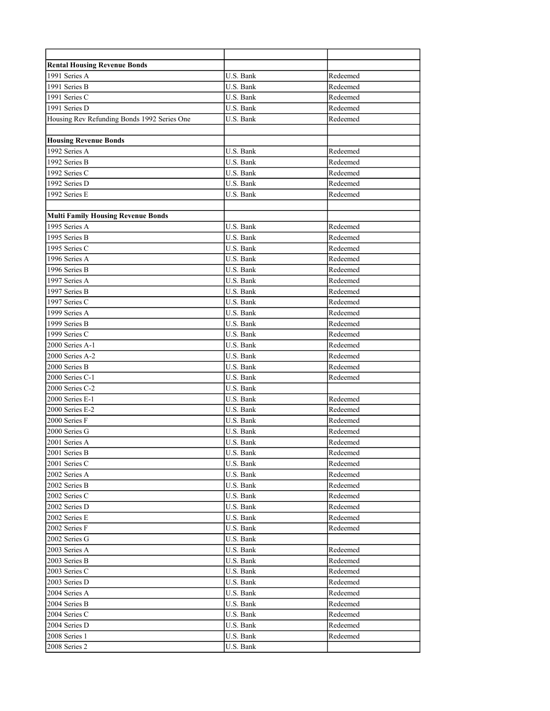| <b>Rental Housing Revenue Bonds</b>         |           |          |
|---------------------------------------------|-----------|----------|
| 1991 Series A                               | U.S. Bank | Redeemed |
| 1991 Series B                               | U.S. Bank | Redeemed |
| 1991 Series C                               | U.S. Bank | Redeemed |
| 1991 Series D                               | U.S. Bank | Redeemed |
| Housing Rev Refunding Bonds 1992 Series One | U.S. Bank | Redeemed |
|                                             |           |          |
| <b>Housing Revenue Bonds</b>                |           |          |
| 1992 Series A                               | U.S. Bank | Redeemed |
| 1992 Series B                               | U.S. Bank | Redeemed |
| 1992 Series C                               | U.S. Bank | Redeemed |
| 1992 Series D                               | U.S. Bank | Redeemed |
| 1992 Series E                               | U.S. Bank | Redeemed |
|                                             |           |          |
| <b>Multi Family Housing Revenue Bonds</b>   |           |          |
| 1995 Series A                               | U.S. Bank | Redeemed |
| 1995 Series B                               | U.S. Bank | Redeemed |
| 1995 Series C                               | U.S. Bank | Redeemed |
| 1996 Series A                               | U.S. Bank | Redeemed |
| 1996 Series B                               | U.S. Bank | Redeemed |
| 1997 Series A                               | U.S. Bank | Redeemed |
| 1997 Series B                               | U.S. Bank | Redeemed |
| 1997 Series C                               | U.S. Bank | Redeemed |
| 1999 Series A                               | U.S. Bank | Redeemed |
| 1999 Series B                               | U.S. Bank | Redeemed |
| 1999 Series C                               | U.S. Bank | Redeemed |
| 2000 Series A-1                             | U.S. Bank | Redeemed |
| 2000 Series A-2                             | U.S. Bank | Redeemed |
| 2000 Series B                               | U.S. Bank | Redeemed |
| 2000 Series C-1                             | U.S. Bank | Redeemed |
| 2000 Series C-2                             | U.S. Bank |          |
| 2000 Series E-1                             | U.S. Bank | Redeemed |
| 2000 Series E-2                             | U.S. Bank | Redeemed |
| 2000 Series F                               | U.S. Bank | Redeemed |
| 2000 Series G                               | U.S. Bank | Redeemed |
| 2001 Series A                               | U.S. Bank | Redeemed |
| 2001 Series B                               | U.S. Bank | Redeemed |
| $2001$ Series C                             | U.S. Bank | Redeemed |
| 2002 Series A                               | U.S. Bank | Redeemed |
| 2002 Series B                               | U.S. Bank | Redeemed |
| 2002 Series C                               | U.S. Bank | Redeemed |
| 2002 Series D                               | U.S. Bank | Redeemed |
| 2002 Series E                               | U.S. Bank | Redeemed |
| 2002 Series F                               | U.S. Bank | Redeemed |
| 2002 Series G                               | U.S. Bank |          |
| 2003 Series A                               | U.S. Bank | Redeemed |
| 2003 Series B                               | U.S. Bank | Redeemed |
| 2003 Series C                               | U.S. Bank | Redeemed |
| 2003 Series D                               | U.S. Bank | Redeemed |
| 2004 Series A                               | U.S. Bank | Redeemed |
| 2004 Series B                               | U.S. Bank | Redeemed |
| 2004 Series C                               | U.S. Bank | Redeemed |
| 2004 Series D                               | U.S. Bank | Redeemed |
| 2008 Series 1                               | U.S. Bank | Redeemed |
| 2008 Series 2                               | U.S. Bank |          |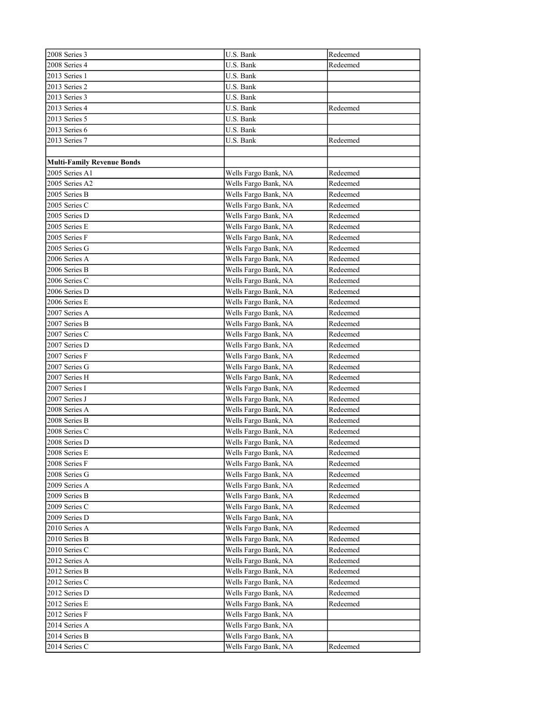| 2008 Series 3                     | U.S. Bank            | Redeemed |
|-----------------------------------|----------------------|----------|
| 2008 Series 4                     | U.S. Bank            | Redeemed |
| 2013 Series 1                     | U.S. Bank            |          |
| 2013 Series 2                     | U.S. Bank            |          |
| 2013 Series 3                     | U.S. Bank            |          |
| 2013 Series 4                     | U.S. Bank            | Redeemed |
| 2013 Series 5                     | U.S. Bank            |          |
| 2013 Series 6                     | U.S. Bank            |          |
| 2013 Series 7                     | U.S. Bank            | Redeemed |
|                                   |                      |          |
| <b>Multi-Family Revenue Bonds</b> |                      |          |
| 2005 Series A1                    | Wells Fargo Bank, NA | Redeemed |
| 2005 Series A2                    | Wells Fargo Bank, NA | Redeemed |
| 2005 Series B                     | Wells Fargo Bank, NA | Redeemed |
| 2005 Series C                     | Wells Fargo Bank, NA | Redeemed |
| 2005 Series D                     | Wells Fargo Bank, NA | Redeemed |
| 2005 Series E                     | Wells Fargo Bank, NA | Redeemed |
| 2005 Series F                     | Wells Fargo Bank, NA | Redeemed |
| 2005 Series G                     | Wells Fargo Bank, NA | Redeemed |
| 2006 Series A                     | Wells Fargo Bank, NA | Redeemed |
| 2006 Series B                     | Wells Fargo Bank, NA | Redeemed |
| 2006 Series C                     | Wells Fargo Bank, NA | Redeemed |
| 2006 Series D                     | Wells Fargo Bank, NA | Redeemed |
| 2006 Series E                     | Wells Fargo Bank, NA | Redeemed |
| 2007 Series A                     | Wells Fargo Bank, NA | Redeemed |
| 2007 Series B                     | Wells Fargo Bank, NA | Redeemed |
| 2007 Series C                     | Wells Fargo Bank, NA | Redeemed |
| 2007 Series D                     | Wells Fargo Bank, NA | Redeemed |
| 2007 Series F                     | Wells Fargo Bank, NA | Redeemed |
| 2007 Series G                     | Wells Fargo Bank, NA | Redeemed |
| 2007 Series H                     | Wells Fargo Bank, NA | Redeemed |
| 2007 Series I                     | Wells Fargo Bank, NA | Redeemed |
| 2007 Series J                     | Wells Fargo Bank, NA | Redeemed |
| 2008 Series A                     | Wells Fargo Bank, NA | Redeemed |
| 2008 Series B                     | Wells Fargo Bank, NA | Redeemed |
| 2008 Series C                     | Wells Fargo Bank, NA | Redeemed |
| 2008 Series D                     | Wells Fargo Bank, NA | Redeemed |
| 2008 Series E                     | Wells Fargo Bank, NA | Redeemed |
| 2008 Series F                     | Wells Fargo Bank, NA | Redeemed |
| 2008 Series G                     | Wells Fargo Bank, NA | Redeemed |
| 2009 Series A                     | Wells Fargo Bank, NA | Redeemed |
| 2009 Series B                     | Wells Fargo Bank, NA | Redeemed |
| 2009 Series C                     | Wells Fargo Bank, NA | Redeemed |
| 2009 Series D                     | Wells Fargo Bank, NA |          |
| 2010 Series A                     | Wells Fargo Bank, NA | Redeemed |
| 2010 Series B                     | Wells Fargo Bank, NA | Redeemed |
| 2010 Series C                     | Wells Fargo Bank, NA | Redeemed |
| 2012 Series A                     | Wells Fargo Bank, NA | Redeemed |
| 2012 Series B                     | Wells Fargo Bank, NA | Redeemed |
| 2012 Series C                     | Wells Fargo Bank, NA | Redeemed |
| 2012 Series D                     | Wells Fargo Bank, NA | Redeemed |
| 2012 Series E                     | Wells Fargo Bank, NA | Redeemed |
| 2012 Series F                     | Wells Fargo Bank, NA |          |
| 2014 Series A                     | Wells Fargo Bank, NA |          |
| 2014 Series B                     | Wells Fargo Bank, NA |          |
| 2014 Series C                     | Wells Fargo Bank, NA | Redeemed |
|                                   |                      |          |